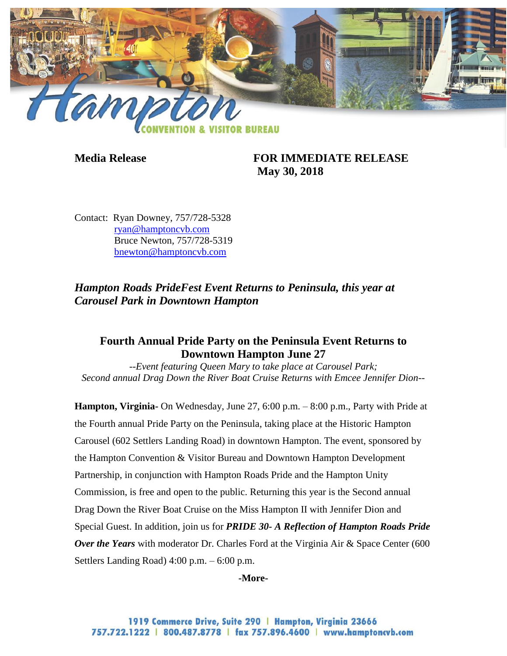

**Media Release FOR IMMEDIATE RELEASE May 30, 2018**

Contact: Ryan Downey, 757/728-5328 [ryan@hamptoncvb.com](mailto:ryan@hamptoncvb.com) Bruce Newton, 757/728-5319 bnewton@hamptoncvb.com

*Hampton Roads PrideFest Event Returns to Peninsula, this year at Carousel Park in Downtown Hampton*

# **Fourth Annual Pride Party on the Peninsula Event Returns to Downtown Hampton June 27**

*--Event featuring Queen Mary to take place at Carousel Park; Second annual Drag Down the River Boat Cruise Returns with Emcee Jennifer Dion--*

**Hampton, Virginia-** On Wednesday, June 27, 6:00 p.m. – 8:00 p.m., Party with Pride at the Fourth annual Pride Party on the Peninsula, taking place at the Historic Hampton Carousel (602 Settlers Landing Road) in downtown Hampton. The event, sponsored by the Hampton Convention & Visitor Bureau and Downtown Hampton Development Partnership, in conjunction with Hampton Roads Pride and the Hampton Unity Commission, is free and open to the public. Returning this year is the Second annual Drag Down the River Boat Cruise on the Miss Hampton II with Jennifer Dion and Special Guest. In addition, join us for *PRIDE 30- A Reflection of Hampton Roads Pride*  **Over the Years** with moderator Dr. Charles Ford at the Virginia Air & Space Center (600 Settlers Landing Road) 4:00 p.m. – 6:00 p.m.

#### **-More-**

1919 Commerce Drive, Suite 290 | Hampton, Virginia 23666 757.722.1222 | 800.487.8778 | fax 757.896.4600 | www.hamptoncvb.com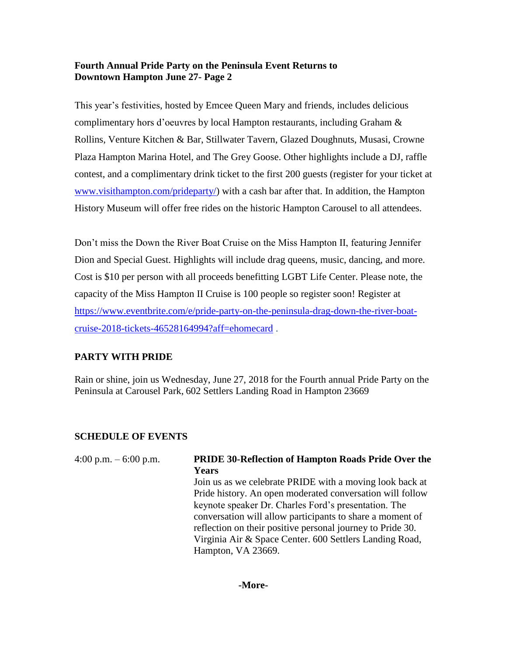## **Fourth Annual Pride Party on the Peninsula Event Returns to Downtown Hampton June 27- Page 2**

This year's festivities, hosted by Emcee Queen Mary and friends, includes delicious complimentary hors d'oeuvres by local Hampton restaurants, including Graham & Rollins, Venture Kitchen & Bar, Stillwater Tavern, Glazed Doughnuts, Musasi, Crowne Plaza Hampton Marina Hotel, and The Grey Goose. Other highlights include a DJ, raffle contest, and a complimentary drink ticket to the first 200 guests (register for your ticket at [www.visithampton.com/prideparty/\)](http://www.visithampton.com/prideparty/) with a cash bar after that. In addition, the Hampton History Museum will offer free rides on the historic Hampton Carousel to all attendees.

Don't miss the Down the River Boat Cruise on the Miss Hampton II, featuring Jennifer Dion and Special Guest. Highlights will include drag queens, music, dancing, and more. Cost is \$10 per person with all proceeds benefitting LGBT Life Center. Please note, the capacity of the Miss Hampton II Cruise is 100 people so register soon! Register at [https://www.eventbrite.com/e/pride-party-on-the-peninsula-drag-down-the-river-boat](https://www.eventbrite.com/e/pride-party-on-the-peninsula-drag-down-the-river-boat-cruise-2018-tickets-46528164994?aff=ehomecard)[cruise-2018-tickets-46528164994?aff=ehomecard](https://www.eventbrite.com/e/pride-party-on-the-peninsula-drag-down-the-river-boat-cruise-2018-tickets-46528164994?aff=ehomecard) .

## **PARTY WITH PRIDE**

Rain or shine, join us Wednesday, June 27, 2018 for the Fourth annual Pride Party on the Peninsula at Carousel Park, 602 Settlers Landing Road in Hampton 23669

## **SCHEDULE OF EVENTS**

| 4:00 p.m. $-6:00$ p.m. | <b>PRIDE 30-Reflection of Hampton Roads Pride Over the</b><br><b>Years</b><br>Join us as we celebrate PRIDE with a moving look back at<br>Pride history. An open moderated conversation will follow<br>keynote speaker Dr. Charles Ford's presentation. The<br>conversation will allow participants to share a moment of<br>reflection on their positive personal journey to Pride 30.<br>Virginia Air & Space Center. 600 Settlers Landing Road, |
|------------------------|---------------------------------------------------------------------------------------------------------------------------------------------------------------------------------------------------------------------------------------------------------------------------------------------------------------------------------------------------------------------------------------------------------------------------------------------------|
|                        | Hampton, VA 23669.                                                                                                                                                                                                                                                                                                                                                                                                                                |

#### **-More-**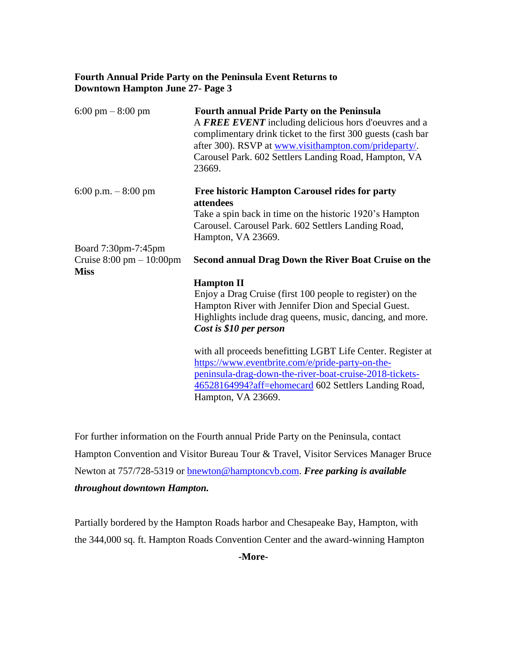## **Fourth Annual Pride Party on the Peninsula Event Returns to Downtown Hampton June 27- Page 3**

| $6:00 \text{ pm} - 8:00 \text{ pm}$         | <b>Fourth annual Pride Party on the Peninsula</b><br>A FREE EVENT including delicious hors d'oeuvres and a<br>complimentary drink ticket to the first 300 guests (cash bar<br>after 300). RSVP at <u>www.visithampton.com/prideparty</u> /.<br>Carousel Park. 602 Settlers Landing Road, Hampton, VA<br>23669. |
|---------------------------------------------|----------------------------------------------------------------------------------------------------------------------------------------------------------------------------------------------------------------------------------------------------------------------------------------------------------------|
| 6:00 p.m. $-8:00$ pm                        | <b>Free historic Hampton Carousel rides for party</b><br>attendees                                                                                                                                                                                                                                             |
|                                             | Take a spin back in time on the historic 1920's Hampton                                                                                                                                                                                                                                                        |
|                                             | Carousel. Carousel Park. 602 Settlers Landing Road,                                                                                                                                                                                                                                                            |
|                                             | Hampton, VA 23669.                                                                                                                                                                                                                                                                                             |
| Board 7:30pm-7:45pm                         |                                                                                                                                                                                                                                                                                                                |
| Cruise $8:00 \text{ pm} - 10:00 \text{ pm}$ | Second annual Drag Down the River Boat Cruise on the                                                                                                                                                                                                                                                           |
| <b>Miss</b>                                 |                                                                                                                                                                                                                                                                                                                |
|                                             | <b>Hampton II</b>                                                                                                                                                                                                                                                                                              |
|                                             | Enjoy a Drag Cruise (first 100 people to register) on the                                                                                                                                                                                                                                                      |
|                                             | Hampton River with Jennifer Dion and Special Guest.                                                                                                                                                                                                                                                            |
|                                             | Highlights include drag queens, music, dancing, and more.<br>Cost is \$10 per person                                                                                                                                                                                                                           |
|                                             |                                                                                                                                                                                                                                                                                                                |
|                                             | with all proceeds benefitting LGBT Life Center. Register at                                                                                                                                                                                                                                                    |
|                                             | https://www.eventbrite.com/e/pride-party-on-the-                                                                                                                                                                                                                                                               |
|                                             | peninsula-drag-down-the-river-boat-cruise-2018-tickets-                                                                                                                                                                                                                                                        |
|                                             | 46528164994?aff=ehomecard 602 Settlers Landing Road,                                                                                                                                                                                                                                                           |
|                                             | Hampton, VA 23669.                                                                                                                                                                                                                                                                                             |

For further information on the Fourth annual Pride Party on the Peninsula, contact Hampton Convention and Visitor Bureau Tour & Travel, Visitor Services Manager Bruce Newton at 757/728-5319 or [bnewton@hamptoncvb.com.](mailto:bnewton@hamptoncvb.com) *Free parking is available throughout downtown Hampton.*

Partially bordered by the Hampton Roads harbor and Chesapeake Bay, Hampton, with the 344,000 sq. ft. Hampton Roads Convention Center and the award-winning Hampton

**-More-**